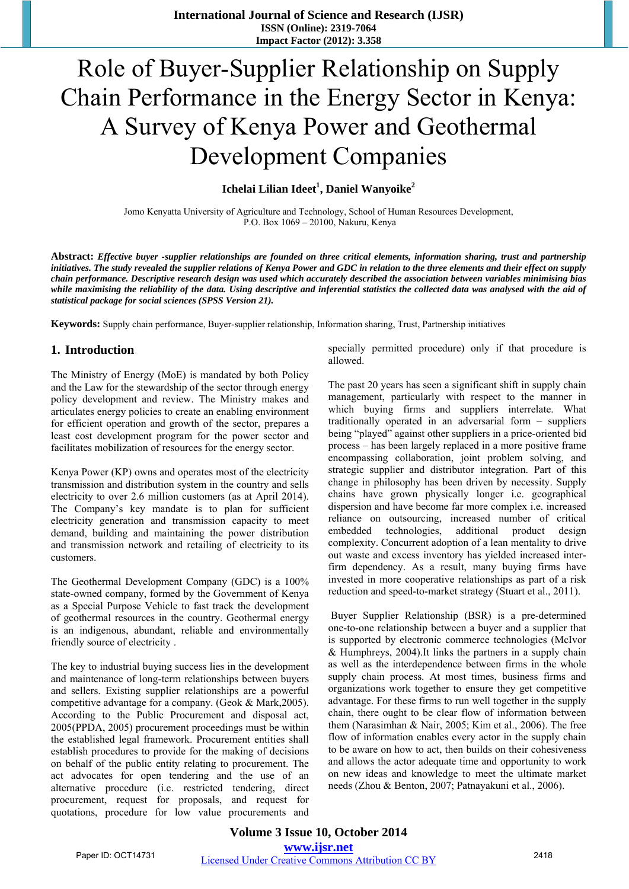# Role of Buyer-Supplier Relationship on Supply Chain Performance in the Energy Sector in Kenya: A Survey of Kenya Power and Geothermal Development Companies

# $I$ chelai Lilian Ideet<sup>1</sup>, Daniel Wanyoike<sup>2</sup>

Jomo Kenyatta University of Agriculture and Technology, School of Human Resources Development, P.O. Box 1069 – 20100, Nakuru, Kenya

**Abstract:** *Effective buyer -supplier relationships are founded on three critical elements, information sharing, trust and partnership initiatives. The study revealed the supplier relations of Kenya Power and GDC in relation to the three elements and their effect on supply chain performance. Descriptive research design was used which accurately described the association between variables minimising bias while maximising the reliability of the data. Using descriptive and inferential statistics the collected data was analysed with the aid of statistical package for social sciences (SPSS Version 21).* 

**Keywords:** Supply chain performance, Buyer-supplier relationship, Information sharing, Trust, Partnership initiatives

# **1. Introduction**

The Ministry of Energy (MoE) is mandated by both Policy and the Law for the stewardship of the sector through energy policy development and review. The Ministry makes and articulates energy policies to create an enabling environment for efficient operation and growth of the sector, prepares a least cost development program for the power sector and facilitates mobilization of resources for the energy sector.

Kenya Power (KP) owns and operates most of the electricity transmission and distribution system in the country and sells electricity to over 2.6 million customers (as at April 2014). The Company's key mandate is to plan for sufficient electricity generation and transmission capacity to meet demand, building and maintaining the power distribution and transmission network and retailing of electricity to its customers.

The Geothermal Development Company (GDC) is a 100% state-owned company, formed by the Government of Kenya as a Special Purpose Vehicle to fast track the development of geothermal resources in the country. Geothermal energy is an indigenous, abundant, reliable and environmentally friendly source of electricity .

The key to industrial buying success lies in the development and maintenance of long-term relationships between buyers and sellers. Existing supplier relationships are a powerful competitive advantage for a company. (Geok & Mark,2005). According to the Public Procurement and disposal act, 2005(PPDA, 2005) procurement proceedings must be within the established legal framework. Procurement entities shall establish procedures to provide for the making of decisions on behalf of the public entity relating to procurement. The act advocates for open tendering and the use of an alternative procedure (i.e. restricted tendering, direct procurement, request for proposals, and request for quotations, procedure for low value procurements and specially permitted procedure) only if that procedure is allowed.

The past 20 years has seen a significant shift in supply chain management, particularly with respect to the manner in which buying firms and suppliers interrelate. What traditionally operated in an adversarial form – suppliers being "played" against other suppliers in a price-oriented bid process – has been largely replaced in a more positive frame encompassing collaboration, joint problem solving, and strategic supplier and distributor integration. Part of this change in philosophy has been driven by necessity. Supply chains have grown physically longer i.e. geographical dispersion and have become far more complex i.e. increased reliance on outsourcing, increased number of critical embedded technologies, additional product design complexity. Concurrent adoption of a lean mentality to drive out waste and excess inventory has yielded increased interfirm dependency. As a result, many buying firms have invested in more cooperative relationships as part of a risk reduction and speed-to-market strategy (Stuart et al., 2011).

 Buyer Supplier Relationship (BSR) is a pre-determined one-to-one relationship between a buyer and a supplier that is supported by electronic commerce technologies (McIvor & Humphreys, 2004).It links the partners in a supply chain as well as the interdependence between firms in the whole supply chain process. At most times, business firms and organizations work together to ensure they get competitive advantage. For these firms to run well together in the supply chain, there ought to be clear flow of information between them (Narasimhan & Nair, 2005; Kim et al., 2006). The free flow of information enables every actor in the supply chain to be aware on how to act, then builds on their cohesiveness and allows the actor adequate time and opportunity to work on new ideas and knowledge to meet the ultimate market needs (Zhou & Benton, 2007; Patnayakuni et al., 2006).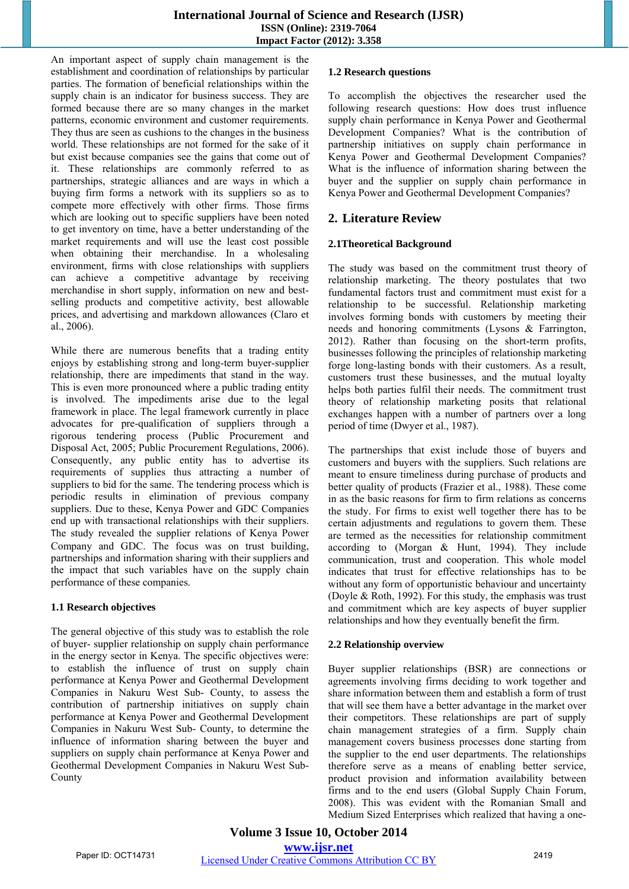An important aspect of supply chain management is the establishment and coordination of relationships by particular parties. The formation of beneficial relationships within the supply chain is an indicator for business success. They are formed because there are so many changes in the market patterns, economic environment and customer requirements. They thus are seen as cushions to the changes in the business world. These relationships are not formed for the sake of it but exist because companies see the gains that come out of it. These relationships are commonly referred to as partnerships, strategic alliances and are ways in which a buying firm forms a network with its suppliers so as to compete more effectively with other firms. Those firms which are looking out to specific suppliers have been noted to get inventory on time, have a better understanding of the market requirements and will use the least cost possible when obtaining their merchandise. In a wholesaling environment, firms with close relationships with suppliers can achieve a competitive advantage by receiving merchandise in short supply, information on new and bestselling products and competitive activity, best allowable prices, and advertising and markdown allowances (Claro et al., 2006).

While there are numerous benefits that a trading entity enjoys by establishing strong and long-term buyer-supplier relationship, there are impediments that stand in the way. This is even more pronounced where a public trading entity is involved. The impediments arise due to the legal framework in place. The legal framework currently in place advocates for pre-qualification of suppliers through a rigorous tendering process (Public Procurement and Disposal Act, 2005; Public Procurement Regulations, 2006). Consequently, any public entity has to advertise its requirements of supplies thus attracting a number of suppliers to bid for the same. The tendering process which is periodic results in elimination of previous company suppliers. Due to these, Kenya Power and GDC Companies end up with transactional relationships with their suppliers. The study revealed the supplier relations of Kenya Power Company and GDC. The focus was on trust building, partnerships and information sharing with their suppliers and the impact that such variables have on the supply chain performance of these companies.

## **1.1 Research objectives**

The general objective of this study was to establish the role of buyer- supplier relationship on supply chain performance in the energy sector in Kenya. The specific objectives were: to establish the influence of trust on supply chain performance at Kenya Power and Geothermal Development Companies in Nakuru West Sub- County, to assess the contribution of partnership initiatives on supply chain performance at Kenya Power and Geothermal Development Companies in Nakuru West Sub- County, to determine the influence of information sharing between the buyer and suppliers on supply chain performance at Kenya Power and Geothermal Development Companies in Nakuru West Sub-County

#### **1.2 Research questions**

To accomplish the objectives the researcher used the following research questions: How does trust influence supply chain performance in Kenya Power and Geothermal Development Companies? What is the contribution of partnership initiatives on supply chain performance in Kenya Power and Geothermal Development Companies? What is the influence of information sharing between the buyer and the supplier on supply chain performance in Kenya Power and Geothermal Development Companies?

# **2. Literature Review**

## **2.1Theoretical Background**

The study was based on the commitment trust theory of relationship marketing. The theory postulates that two fundamental factors trust and commitment must exist for a relationship to be successful. Relationship marketing involves forming bonds with customers by meeting their needs and honoring commitments (Lysons & Farrington, 2012). Rather than focusing on the short-term profits, businesses following the principles of relationship marketing forge long-lasting bonds with their customers. As a result, customers trust these businesses, and the mutual loyalty helps both parties fulfil their needs. The commitment trust theory of relationship marketing posits that relational exchanges happen with a number of partners over a long period of time (Dwyer et al., 1987).

The partnerships that exist include those of buyers and customers and buyers with the suppliers. Such relations are meant to ensure timeliness during purchase of products and better quality of products (Frazier et al., 1988). These come in as the basic reasons for firm to firm relations as concerns the study. For firms to exist well together there has to be certain adjustments and regulations to govern them. These are termed as the necessities for relationship commitment according to (Morgan & Hunt, 1994). They include communication, trust and cooperation. This whole model indicates that trust for effective relationships has to be without any form of opportunistic behaviour and uncertainty (Doyle & Roth, 1992). For this study, the emphasis was trust and commitment which are key aspects of buyer supplier relationships and how they eventually benefit the firm.

## **2.2 Relationship overview**

Buyer supplier relationships (BSR) are connections or agreements involving firms deciding to work together and share information between them and establish a form of trust that will see them have a better advantage in the market over their competitors. These relationships are part of supply chain management strategies of a firm. Supply chain management covers business processes done starting from the supplier to the end user departments. The relationships therefore serve as a means of enabling better service, product provision and information availability between firms and to the end users (Global Supply Chain Forum, 2008). This was evident with the Romanian Small and Medium Sized Enterprises which realized that having a one-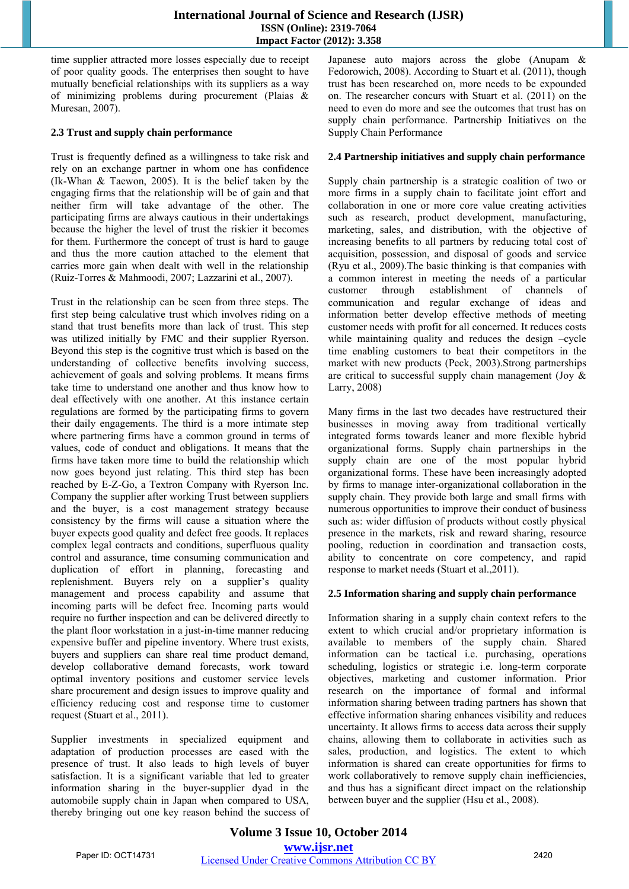#### **International Journal of Science and Research (IJSR) ISSN (Online): 2319-7064 Impact Factor (2012): 3.358**

time supplier attracted more losses especially due to receipt of poor quality goods. The enterprises then sought to have mutually beneficial relationships with its suppliers as a way of minimizing problems during procurement (Plaias & Muresan, 2007).

## **2.3 Trust and supply chain performance**

Trust is frequently defined as a willingness to take risk and rely on an exchange partner in whom one has confidence (Ik-Whan & Taewon, 2005). It is the belief taken by the engaging firms that the relationship will be of gain and that neither firm will take advantage of the other. The participating firms are always cautious in their undertakings because the higher the level of trust the riskier it becomes for them. Furthermore the concept of trust is hard to gauge and thus the more caution attached to the element that carries more gain when dealt with well in the relationship (Ruiz-Torres & Mahmoodi, 2007; Lazzarini et al., 2007).

Trust in the relationship can be seen from three steps. The first step being calculative trust which involves riding on a stand that trust benefits more than lack of trust. This step was utilized initially by FMC and their supplier Ryerson. Beyond this step is the cognitive trust which is based on the understanding of collective benefits involving success, achievement of goals and solving problems. It means firms take time to understand one another and thus know how to deal effectively with one another. At this instance certain regulations are formed by the participating firms to govern their daily engagements. The third is a more intimate step where partnering firms have a common ground in terms of values, code of conduct and obligations. It means that the firms have taken more time to build the relationship which now goes beyond just relating. This third step has been reached by E-Z-Go, a Textron Company with Ryerson Inc. Company the supplier after working Trust between suppliers and the buyer, is a cost management strategy because consistency by the firms will cause a situation where the buyer expects good quality and defect free goods. It replaces complex legal contracts and conditions, superfluous quality control and assurance, time consuming communication and duplication of effort in planning, forecasting and replenishment. Buyers rely on a supplier's quality management and process capability and assume that incoming parts will be defect free. Incoming parts would require no further inspection and can be delivered directly to the plant floor workstation in a just-in-time manner reducing expensive buffer and pipeline inventory. Where trust exists, buyers and suppliers can share real time product demand, develop collaborative demand forecasts, work toward optimal inventory positions and customer service levels share procurement and design issues to improve quality and efficiency reducing cost and response time to customer request (Stuart et al., 2011).

Supplier investments in specialized equipment and adaptation of production processes are eased with the presence of trust. It also leads to high levels of buyer satisfaction. It is a significant variable that led to greater information sharing in the buyer-supplier dyad in the automobile supply chain in Japan when compared to USA, thereby bringing out one key reason behind the success of Japanese auto majors across the globe (Anupam & Fedorowich, 2008). According to Stuart et al. (2011), though trust has been researched on, more needs to be expounded on. The researcher concurs with Stuart et al. (2011) on the need to even do more and see the outcomes that trust has on supply chain performance. Partnership Initiatives on the Supply Chain Performance

#### **2.4 Partnership initiatives and supply chain performance**

Supply chain partnership is a strategic coalition of two or more firms in a supply chain to facilitate joint effort and collaboration in one or more core value creating activities such as research, product development, manufacturing, marketing, sales, and distribution, with the objective of increasing benefits to all partners by reducing total cost of acquisition, possession, and disposal of goods and service (Ryu et al., 2009).The basic thinking is that companies with a common interest in meeting the needs of a particular customer through establishment of channels of communication and regular exchange of ideas and information better develop effective methods of meeting customer needs with profit for all concerned. It reduces costs while maintaining quality and reduces the design -cycle time enabling customers to beat their competitors in the market with new products (Peck, 2003).Strong partnerships are critical to successful supply chain management (Joy & Larry, 2008)

Many firms in the last two decades have restructured their businesses in moving away from traditional vertically integrated forms towards leaner and more flexible hybrid organizational forms. Supply chain partnerships in the supply chain are one of the most popular hybrid organizational forms. These have been increasingly adopted by firms to manage inter-organizational collaboration in the supply chain. They provide both large and small firms with numerous opportunities to improve their conduct of business such as: wider diffusion of products without costly physical presence in the markets, risk and reward sharing, resource pooling, reduction in coordination and transaction costs, ability to concentrate on core competency, and rapid response to market needs (Stuart et al.,2011).

## **2.5 Information sharing and supply chain performance**

Information sharing in a supply chain context refers to the extent to which crucial and/or proprietary information is available to members of the supply chain. Shared information can be tactical i.e. purchasing, operations scheduling, logistics or strategic i.e. long-term corporate objectives, marketing and customer information. Prior research on the importance of formal and informal information sharing between trading partners has shown that effective information sharing enhances visibility and reduces uncertainty. It allows firms to access data across their supply chains, allowing them to collaborate in activities such as sales, production, and logistics. The extent to which information is shared can create opportunities for firms to work collaboratively to remove supply chain inefficiencies, and thus has a significant direct impact on the relationship between buyer and the supplier (Hsu et al., 2008).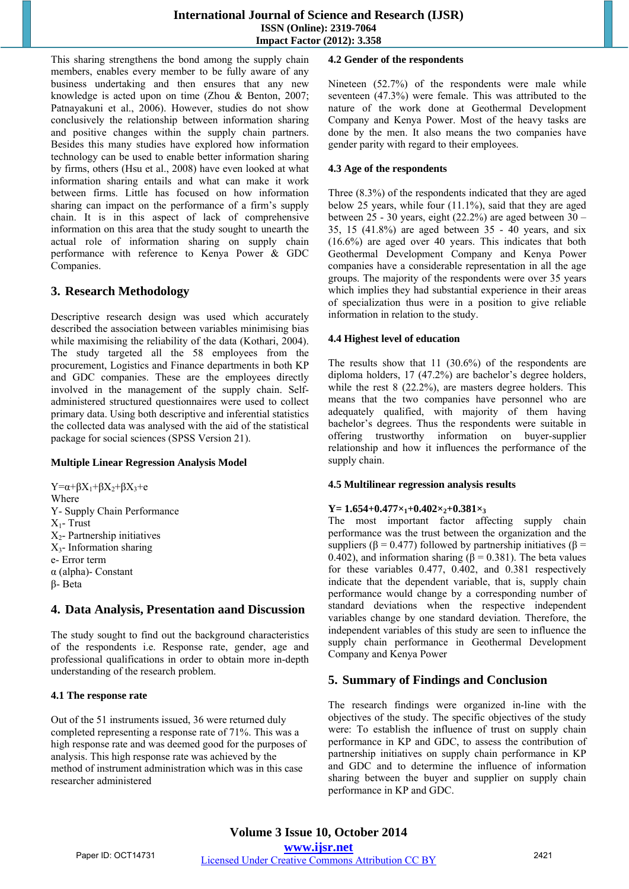This sharing strengthens the bond among the supply chain members, enables every member to be fully aware of any business undertaking and then ensures that any new knowledge is acted upon on time (Zhou & Benton, 2007; Patnayakuni et al., 2006). However, studies do not show conclusively the relationship between information sharing and positive changes within the supply chain partners. Besides this many studies have explored how information technology can be used to enable better information sharing by firms, others (Hsu et al., 2008) have even looked at what information sharing entails and what can make it work between firms. Little has focused on how information sharing can impact on the performance of a firm's supply chain. It is in this aspect of lack of comprehensive information on this area that the study sought to unearth the actual role of information sharing on supply chain performance with reference to Kenya Power & GDC Companies.

# **3. Research Methodology**

Descriptive research design was used which accurately described the association between variables minimising bias while maximising the reliability of the data (Kothari, 2004). The study targeted all the 58 employees from the procurement, Logistics and Finance departments in both KP and GDC companies. These are the employees directly involved in the management of the supply chain. Selfadministered structured questionnaires were used to collect primary data. Using both descriptive and inferential statistics the collected data was analysed with the aid of the statistical package for social sciences (SPSS Version 21).

## **Multiple Linear Regression Analysis Model**

 $Y=\alpha+\beta X_1+\beta X_2+\beta X_3+\epsilon$ Where Y- Supply Chain Performance  $X_1$ - Trust  $X_2$ - Partnership initiatives  $X_3$ - Information sharing e- Error term α (alpha)- Constant β- Beta

## **4. Data Analysis, Presentation aand Discussion**

The study sought to find out the background characteristics of the respondents i.e. Response rate, gender, age and professional qualifications in order to obtain more in-depth understanding of the research problem.

## **4.1 The response rate**

Out of the 51 instruments issued, 36 were returned duly completed representing a response rate of 71%. This was a high response rate and was deemed good for the purposes of analysis. This high response rate was achieved by the method of instrument administration which was in this case researcher administered

#### **4.2 Gender of the respondents**

Nineteen (52.7%) of the respondents were male while seventeen (47.3%) were female. This was attributed to the nature of the work done at Geothermal Development Company and Kenya Power. Most of the heavy tasks are done by the men. It also means the two companies have gender parity with regard to their employees.

#### **4.3 Age of the respondents**

Three (8.3%) of the respondents indicated that they are aged below 25 years, while four (11.1%), said that they are aged between 25 - 30 years, eight (22.2%) are aged between 30 – 35, 15 (41.8%) are aged between 35 - 40 years, and six (16.6%) are aged over 40 years. This indicates that both Geothermal Development Company and Kenya Power companies have a considerable representation in all the age groups. The majority of the respondents were over 35 years which implies they had substantial experience in their areas of specialization thus were in a position to give reliable information in relation to the study.

#### **4.4 Highest level of education**

The results show that 11 (30.6%) of the respondents are diploma holders, 17 (47.2%) are bachelor's degree holders, while the rest 8 (22.2%), are masters degree holders. This means that the two companies have personnel who are adequately qualified, with majority of them having bachelor's degrees. Thus the respondents were suitable in offering trustworthy information on buyer-supplier relationship and how it influences the performance of the supply chain.

#### **4.5 Multilinear regression analysis results**

## **Y= 1.654+0.477×1+0.402×2+0.381×3**

The most important factor affecting supply chain performance was the trust between the organization and the suppliers ( $\beta$  = 0.477) followed by partnership initiatives ( $\beta$  = 0.402), and information sharing ( $\beta$  = 0.381). The beta values for these variables 0.477, 0.402, and 0.381 respectively indicate that the dependent variable, that is, supply chain performance would change by a corresponding number of standard deviations when the respective independent variables change by one standard deviation. Therefore, the independent variables of this study are seen to influence the supply chain performance in Geothermal Development Company and Kenya Power

# **5. Summary of Findings and Conclusion**

The research findings were organized in-line with the objectives of the study. The specific objectives of the study were: To establish the influence of trust on supply chain performance in KP and GDC, to assess the contribution of partnership initiatives on supply chain performance in KP and GDC and to determine the influence of information sharing between the buyer and supplier on supply chain performance in KP and GDC.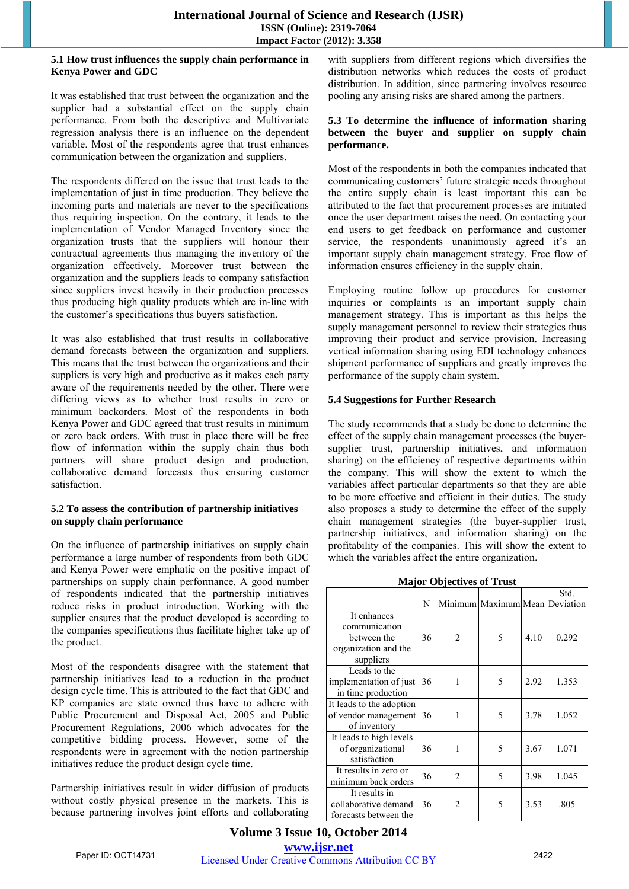#### **5.1 How trust influences the supply chain performance in Kenya Power and GDC**

It was established that trust between the organization and the supplier had a substantial effect on the supply chain performance. From both the descriptive and Multivariate regression analysis there is an influence on the dependent variable. Most of the respondents agree that trust enhances communication between the organization and suppliers.

The respondents differed on the issue that trust leads to the implementation of just in time production. They believe the incoming parts and materials are never to the specifications thus requiring inspection. On the contrary, it leads to the implementation of Vendor Managed Inventory since the organization trusts that the suppliers will honour their contractual agreements thus managing the inventory of the organization effectively. Moreover trust between the organization and the suppliers leads to company satisfaction since suppliers invest heavily in their production processes thus producing high quality products which are in-line with the customer's specifications thus buyers satisfaction.

It was also established that trust results in collaborative demand forecasts between the organization and suppliers. This means that the trust between the organizations and their suppliers is very high and productive as it makes each party aware of the requirements needed by the other. There were differing views as to whether trust results in zero or minimum backorders. Most of the respondents in both Kenya Power and GDC agreed that trust results in minimum or zero back orders. With trust in place there will be free flow of information within the supply chain thus both partners will share product design and production, collaborative demand forecasts thus ensuring customer satisfaction.

#### **5.2 To assess the contribution of partnership initiatives on supply chain performance**

On the influence of partnership initiatives on supply chain performance a large number of respondents from both GDC and Kenya Power were emphatic on the positive impact of partnerships on supply chain performance. A good number of respondents indicated that the partnership initiatives reduce risks in product introduction. Working with the supplier ensures that the product developed is according to the companies specifications thus facilitate higher take up of the product.

Most of the respondents disagree with the statement that partnership initiatives lead to a reduction in the product design cycle time. This is attributed to the fact that GDC and KP companies are state owned thus have to adhere with Public Procurement and Disposal Act, 2005 and Public Procurement Regulations, 2006 which advocates for the competitive bidding process. However, some of the respondents were in agreement with the notion partnership initiatives reduce the product design cycle time.

Partnership initiatives result in wider diffusion of products without costly physical presence in the markets. This is because partnering involves joint efforts and collaborating with suppliers from different regions which diversifies the distribution networks which reduces the costs of product distribution. In addition, since partnering involves resource pooling any arising risks are shared among the partners.

#### **5.3 To determine the influence of information sharing between the buyer and supplier on supply chain performance.**

Most of the respondents in both the companies indicated that communicating customers' future strategic needs throughout the entire supply chain is least important this can be attributed to the fact that procurement processes are initiated once the user department raises the need. On contacting your end users to get feedback on performance and customer service, the respondents unanimously agreed it's an important supply chain management strategy. Free flow of information ensures efficiency in the supply chain.

Employing routine follow up procedures for customer inquiries or complaints is an important supply chain management strategy. This is important as this helps the supply management personnel to review their strategies thus improving their product and service provision. Increasing vertical information sharing using EDI technology enhances shipment performance of suppliers and greatly improves the performance of the supply chain system.

#### **5.4 Suggestions for Further Research**

The study recommends that a study be done to determine the effect of the supply chain management processes (the buyersupplier trust, partnership initiatives, and information sharing) on the efficiency of respective departments within the company. This will show the extent to which the variables affect particular departments so that they are able to be more effective and efficient in their duties. The study also proposes a study to determine the effect of the supply chain management strategies (the buyer-supplier trust, partnership initiatives, and information sharing) on the profitability of the companies. This will show the extent to which the variables affect the entire organization.

**Major Objectives of Trust** 

|                                                                                  |    |                               |                                |      | Std.  |
|----------------------------------------------------------------------------------|----|-------------------------------|--------------------------------|------|-------|
|                                                                                  | N  |                               | Minimum Maximum Mean Deviation |      |       |
| It enhances<br>communication<br>between the<br>organization and the<br>suppliers | 36 | $\mathfrak{D}_{\mathfrak{p}}$ | 5                              | 4.10 | 0.292 |
| Leads to the<br>implementation of just<br>in time production                     | 36 | 1                             | 5                              | 2.92 | 1.353 |
| It leads to the adoption<br>of vendor management<br>of inventory                 | 36 | 1                             | 5                              | 3.78 | 1.052 |
| It leads to high levels<br>of organizational<br>satisfaction                     | 36 | 1                             | 5                              | 3.67 | 1.071 |
| It results in zero or<br>minimum back orders                                     | 36 | $\overline{2}$                | 5                              | 3.98 | 1.045 |
| It results in<br>collaborative demand<br>forecasts between the                   | 36 | $\mathfrak{D}$                | 5                              | 3.53 | .805  |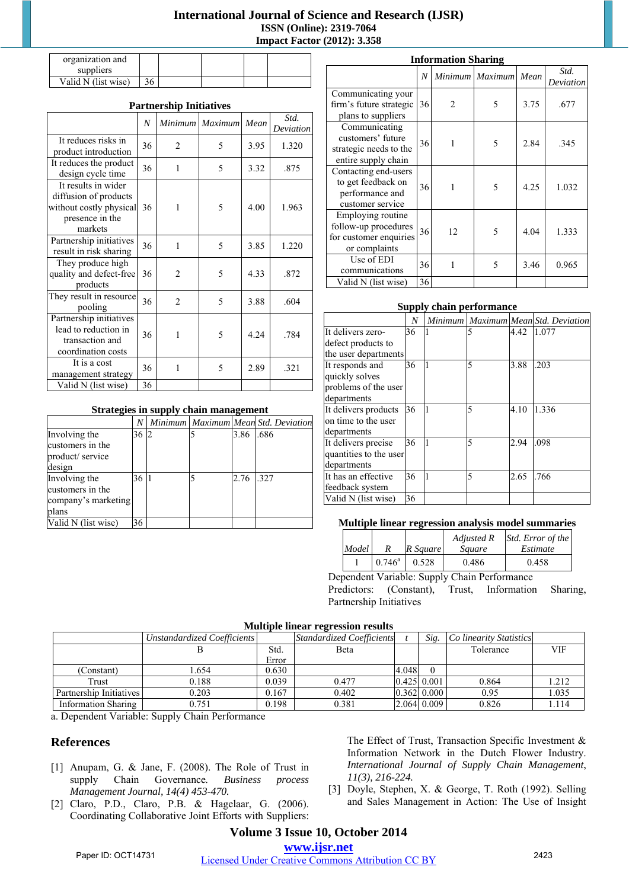## **International Journal of Science and Research (IJSR) ISSN (Online): 2319-7064 Impact Factor (2012): 3.358**

| organization and    |    |  |  |
|---------------------|----|--|--|
| suppliers           |    |  |  |
| Valid N (list wise) | 36 |  |  |

## **Partnership Initiatives**

|                                                                                                       | N  | <i>Minimum</i> | <b>Maximum</b> | Mean | Std.<br>Deviation |
|-------------------------------------------------------------------------------------------------------|----|----------------|----------------|------|-------------------|
| It reduces risks in<br>product introduction                                                           | 36 | $\overline{2}$ | 5              | 3.95 | 1.320             |
| It reduces the product<br>design cycle time                                                           | 36 | 1              | 5              | 3.32 | .875              |
| It results in wider<br>diffusion of products<br>without costly physical<br>presence in the<br>markets | 36 | 1              | 5              | 4.00 | 1.963             |
| Partnership initiatives<br>result in risk sharing                                                     | 36 | 1              | 5              | 3.85 | 1.220             |
| They produce high<br>quality and defect-free<br>products                                              | 36 | $\mathfrak{D}$ | 5              | 4.33 | .872              |
| They result in resource<br>pooling                                                                    | 36 | $\overline{2}$ | 5              | 3.88 | .604              |
| Partnership initiatives<br>lead to reduction in<br>transaction and<br>coordination costs              | 36 | 1              | 5              | 4.24 | .784              |
| It is a cost<br>management strategy                                                                   | 36 | 1              | 5              | 2.89 | .321              |
| Valid N (list wise)                                                                                   | 36 |                |                |      |                   |

**Strategies in supply chain management** 

*N Minimum Maximum Mean Std. Deviation*

36 2 5 3.86 .686

36 1 5 2.76 .327

| <b>Information Sharing</b>                                                           |    |    |                 |      |                   |  |  |  |
|--------------------------------------------------------------------------------------|----|----|-----------------|------|-------------------|--|--|--|
|                                                                                      | N  |    | Minimum Maximum | Mean | Std.<br>Deviation |  |  |  |
| Communicating your<br>firm's future strategic<br>plans to suppliers                  | 36 | 2  | 5               | 3.75 | .677              |  |  |  |
| Communicating<br>customers' future<br>strategic needs to the<br>entire supply chain  | 36 | 1  | 5               | 2.84 | .345              |  |  |  |
| Contacting end-users<br>to get feedback on<br>performance and<br>customer service    | 36 | 1  | 5               | 4.25 | 1.032             |  |  |  |
| Employing routine<br>follow-up procedures<br>for customer enquiries<br>or complaints | 36 | 12 | 5               | 4.04 | 1.333             |  |  |  |
| Use of EDI<br>communications                                                         | 36 | 1  | 5               | 3.46 | 0.965             |  |  |  |
| Valid N (list wise)                                                                  | 36 |    |                 |      |                   |  |  |  |

#### **Supply chain performance**

|                        | N  |           |   |      | Minimum   Maximum   Mean Std. Deviation |
|------------------------|----|-----------|---|------|-----------------------------------------|
| It delivers zero-      | 36 |           | 5 | 4.42 | 1.077                                   |
| defect products to     |    |           |   |      |                                         |
| the user departments   |    |           |   |      |                                         |
| It responds and        | 36 |           | 5 | 3.88 | .203                                    |
| quickly solves         |    |           |   |      |                                         |
| problems of the user   |    |           |   |      |                                         |
| departments            |    |           |   |      |                                         |
| It delivers products   | 36 | $\vert$ 1 | 5 | 4.10 | 1.336                                   |
| on time to the user    |    |           |   |      |                                         |
| departments            |    |           |   |      |                                         |
| It delivers precise    | 36 |           | 5 | 2.94 | .098                                    |
| quantities to the user |    |           |   |      |                                         |
| departments            |    |           |   |      |                                         |
| It has an effective    | 36 |           | 5 | 2.65 | .766                                    |
| feedback system        |    |           |   |      |                                         |
| Valid N (list wise)    | 36 |           |   |      |                                         |

#### **Multiple linear regression analysis model summaries**

| Model |                 | R Sauare | Adjusted R<br>Sauare | Std. Error of the<br>Estimate |
|-------|-----------------|----------|----------------------|-------------------------------|
|       | $0.746^{\circ}$ | 0.528    | 0.486                | 0.458                         |

Dependent Variable: Supply Chain Performance Predictors: (Constant), Trust, Information Sharing, Partnership Initiatives

## **Multiple linear regression results**

|                            | Unstandardized Coefficients |       | <b>Standardized Coefficients</b> |       | Sig.             | Co linearity Statistics |            |
|----------------------------|-----------------------------|-------|----------------------------------|-------|------------------|-------------------------|------------|
|                            |                             | Std.  | <b>B</b> eta                     |       |                  | Tolerance               | <b>VIF</b> |
|                            |                             | Error |                                  |       |                  |                         |            |
| (Constant)                 | .654                        | 0.630 |                                  | 4.048 |                  |                         |            |
| Trust                      | 0.188                       | 0.039 | 0.477                            |       | $0.425 \, 0.001$ | 0.864                   | 1.212      |
| Partnership Initiatives    | 0.203                       | 0.167 | 0.402                            |       | $0.362$ $0.000$  | 0.95                    | 1.035      |
| <b>Information Sharing</b> | 0.751                       | 0.198 | 0.381                            |       | 2.064 0.009      | 0.826                   | 1.114      |

a. Dependent Variable: Supply Chain Performance

## **References**

Involving the customers in the product/ service design

Involving the customers in the company's marketing

Valid N (list wise) 36

plans

- [1] Anupam, G. & Jane, F. (2008). The Role of Trust in supply Chain Governance*. Business process Management Journal, 14(4) 453-470.*
- [2] Claro, P.D., Claro, P.B. & Hagelaar, G. (2006). Coordinating Collaborative Joint Efforts with Suppliers:

The Effect of Trust, Transaction Specific Investment & Information Network in the Dutch Flower Industry. *International Journal of Supply Chain Management*, *11(3), 216-224.* 

[3] Doyle, Stephen, X. & George, T. Roth (1992). Selling and Sales Management in Action: The Use of Insight